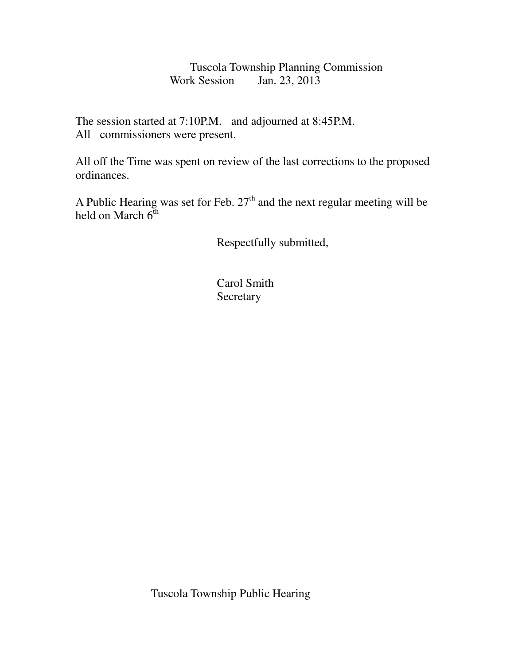Tuscola Township Planning Commission<br>Work Session Jan. 23, 2013 Jan. 23, 2013

The session started at 7:10P.M. and adjourned at 8:45P.M. All commissioners were present.

All off the Time was spent on review of the last corrections to the proposed ordinances.

A Public Hearing was set for Feb.  $27<sup>th</sup>$  and the next regular meeting will be held on March  $6^{\text{th}}$ 

Respectfully submitted,

 Carol Smith **Secretary** 

Tuscola Township Public Hearing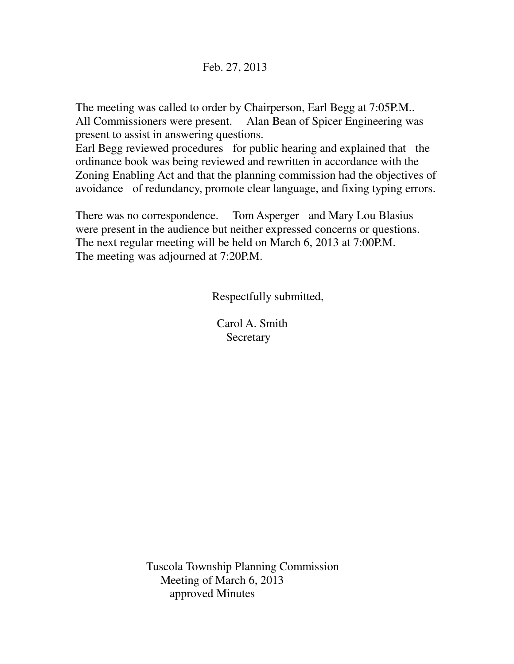## Feb. 27, 2013

The meeting was called to order by Chairperson, Earl Begg at 7:05P.M.. All Commissioners were present. Alan Bean of Spicer Engineering was present to assist in answering questions.

Earl Begg reviewed procedures for public hearing and explained that the ordinance book was being reviewed and rewritten in accordance with the Zoning Enabling Act and that the planning commission had the objectives of avoidance of redundancy, promote clear language, and fixing typing errors.

There was no correspondence. Tom Asperger and Mary Lou Blasius were present in the audience but neither expressed concerns or questions. The next regular meeting will be held on March 6, 2013 at 7:00P.M. The meeting was adjourned at 7:20P.M.

Respectfully submitted,

 Carol A. Smith **Secretary** 

 Tuscola Township Planning Commission Meeting of March 6, 2013 approved Minutes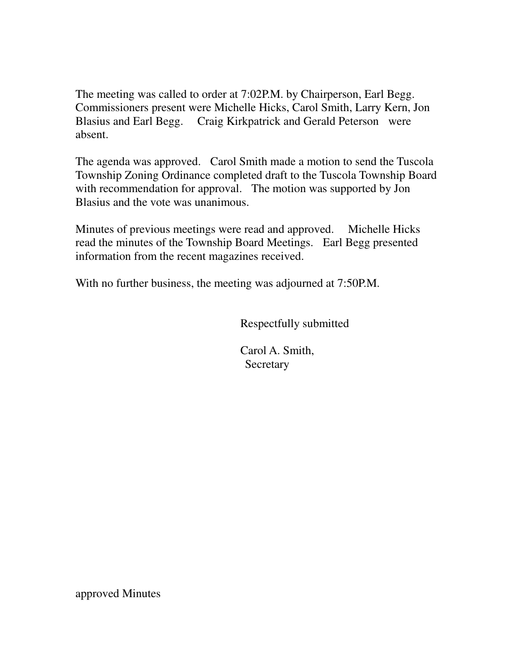The meeting was called to order at 7:02P.M. by Chairperson, Earl Begg. Commissioners present were Michelle Hicks, Carol Smith, Larry Kern, Jon Blasius and Earl Begg. Craig Kirkpatrick and Gerald Peterson were absent.

The agenda was approved. Carol Smith made a motion to send the Tuscola Township Zoning Ordinance completed draft to the Tuscola Township Board with recommendation for approval. The motion was supported by Jon Blasius and the vote was unanimous.

Minutes of previous meetings were read and approved. Michelle Hicks read the minutes of the Township Board Meetings. Earl Begg presented information from the recent magazines received.

With no further business, the meeting was adjourned at 7:50P.M.

Respectfully submitted

 Carol A. Smith, **Secretary** 

approved Minutes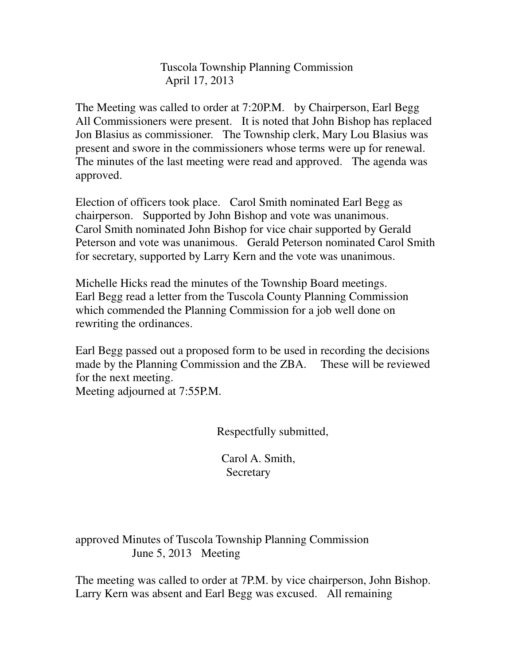Tuscola Township Planning Commission April 17, 2013

The Meeting was called to order at 7:20P.M. by Chairperson, Earl Begg All Commissioners were present. It is noted that John Bishop has replaced Jon Blasius as commissioner. The Township clerk, Mary Lou Blasius was present and swore in the commissioners whose terms were up for renewal. The minutes of the last meeting were read and approved. The agenda was approved.

Election of officers took place. Carol Smith nominated Earl Begg as chairperson. Supported by John Bishop and vote was unanimous. Carol Smith nominated John Bishop for vice chair supported by Gerald Peterson and vote was unanimous. Gerald Peterson nominated Carol Smith for secretary, supported by Larry Kern and the vote was unanimous.

Michelle Hicks read the minutes of the Township Board meetings. Earl Begg read a letter from the Tuscola County Planning Commission which commended the Planning Commission for a job well done on rewriting the ordinances.

Earl Begg passed out a proposed form to be used in recording the decisions made by the Planning Commission and the ZBA. These will be reviewed for the next meeting. Meeting adjourned at 7:55P.M.

Respectfully submitted,

 Carol A. Smith, **Secretary** 

approved Minutes of Tuscola Township Planning Commission June 5, 2013 Meeting

The meeting was called to order at 7P.M. by vice chairperson, John Bishop. Larry Kern was absent and Earl Begg was excused. All remaining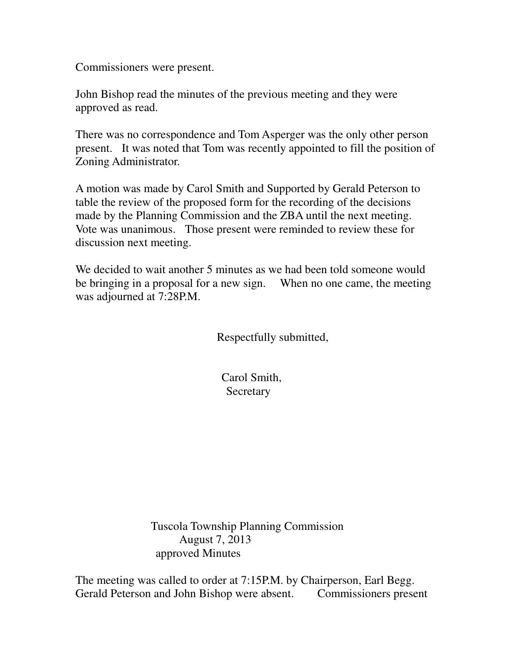Commissioners were present.

John Bishop read the minutes of the previous meeting and they were approved as read.

There was no correspondence and Tom Asperger was the only other person present. It was noted that Tom was recently appointed to fill the position of Zoning Administrator.

A motion was made by Carol Smith and Supported by Gerald Peterson to table the review of the proposed form for the recording of the decisions made by the Planning Commission and the ZBA until the next meeting. Vote was unanimous. Those present were reminded to review these for discussion next meeting.

We decided to wait another 5 minutes as we had been told someone would be bringing in a proposal for a new sign. When no one came, the meeting was adjourned at 7:28P.M.

Respectfully submitted,

 Carol Smith, Secretary

 Tuscola Township Planning Commission August 7, 2013 approved Minutes

The meeting was called to order at 7:15P.M. by Chairperson, Earl Begg. Gerald Peterson and John Bishop were absent. Commissioners present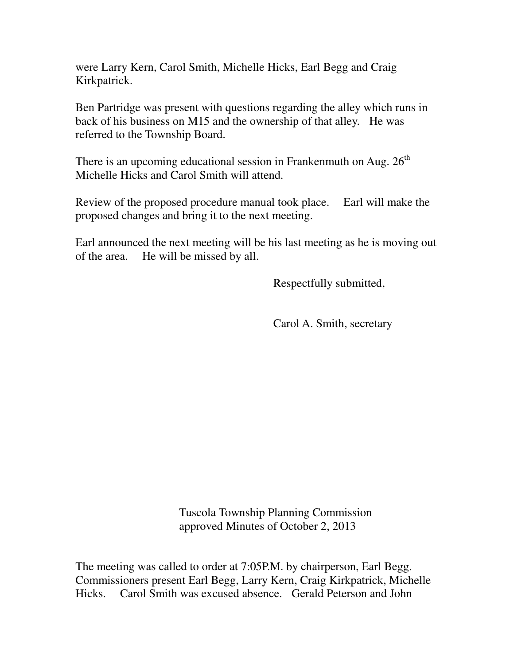were Larry Kern, Carol Smith, Michelle Hicks, Earl Begg and Craig Kirkpatrick.

Ben Partridge was present with questions regarding the alley which runs in back of his business on M15 and the ownership of that alley. He was referred to the Township Board.

There is an upcoming educational session in Frankenmuth on Aug.  $26<sup>th</sup>$ Michelle Hicks and Carol Smith will attend.

Review of the proposed procedure manual took place. Earl will make the proposed changes and bring it to the next meeting.

Earl announced the next meeting will be his last meeting as he is moving out of the area. He will be missed by all.

Respectfully submitted,

Carol A. Smith, secretary

 Tuscola Township Planning Commission approved Minutes of October 2, 2013

The meeting was called to order at 7:05P.M. by chairperson, Earl Begg. Commissioners present Earl Begg, Larry Kern, Craig Kirkpatrick, Michelle Hicks. Carol Smith was excused absence. Gerald Peterson and John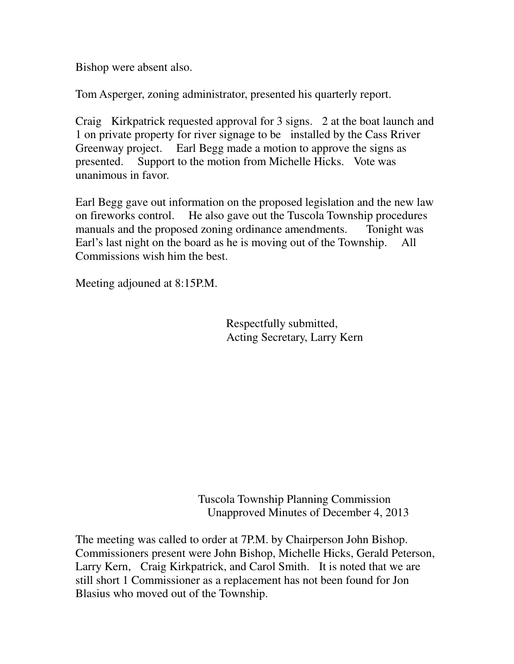Bishop were absent also.

Tom Asperger, zoning administrator, presented his quarterly report.

Craig Kirkpatrick requested approval for 3 signs. 2 at the boat launch and 1 on private property for river signage to be installed by the Cass Rriver Greenway project. Earl Begg made a motion to approve the signs as presented. Support to the motion from Michelle Hicks. Vote was unanimous in favor.

Earl Begg gave out information on the proposed legislation and the new law on fireworks control. He also gave out the Tuscola Township procedures manuals and the proposed zoning ordinance amendments. Tonight was Earl's last night on the board as he is moving out of the Township. All Commissions wish him the best.

Meeting adjouned at 8:15P.M.

 Respectfully submitted, Acting Secretary, Larry Kern

 Tuscola Township Planning Commission Unapproved Minutes of December 4, 2013

The meeting was called to order at 7P.M. by Chairperson John Bishop. Commissioners present were John Bishop, Michelle Hicks, Gerald Peterson, Larry Kern, Craig Kirkpatrick, and Carol Smith. It is noted that we are still short 1 Commissioner as a replacement has not been found for Jon Blasius who moved out of the Township.